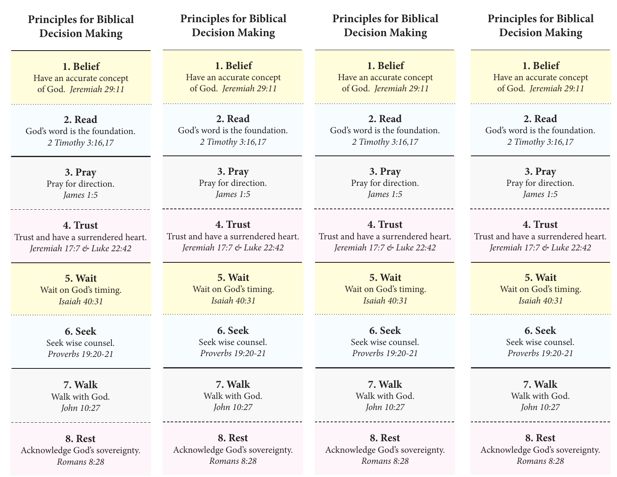# **Principles for Biblical Decision Making**

**1. Belief** Have an accurate concept of God. *Jeremiah 29:11*

**2. Read** God's word is the foundation. *2 Timothy 3:16,17*

> **3. Pray** Pray for direction. *James 1:5*

**4. Trust** Trust and have a surrendered heart. *Jeremiah 17:7 & Luke 22:42*

> **5. Wait** Wait on God's timing. *Isaiah 40:31*

**6. Seek** Seek wise counsel. *Proverbs 19:20-21*

**7. Walk** Walk with God. *John 10:27*

**8. Rest** Acknowledge God's sovereignty. *Romans 8:28*

**Principles for Biblical Decision Making**

**1. Belief** Have an accurate concept of God. *Jeremiah 29:11*

**2. Read** God's word is the foundation. *2 Timothy 3:16,17*

> **3. Pray** Pray for direction. *James 1:5*

**4. Trust** Trust and have a surrendered heart. *Jeremiah 17:7 & Luke 22:42*

> **5. Wait** Wait on God's timing. *Isaiah 40:31*

**6. Seek** Seek wise counsel. *Proverbs 19:20-21*

**7. Walk** Walk with God. *John 10:27*

**8. Rest** Acknowledge God's sovereignty. *Romans 8:28*

**Principles for Biblical Decision Making**

**1. Belief** Have an accurate concept of God. *Jeremiah 29:11*

**2. Read** God's word is the foundation. *2 Timothy 3:16,17*

> **3. Pray** Pray for direction. *James 1:5*

**4. Trust** Trust and have a surrendered heart. *Jeremiah 17:7 & Luke 22:42*

> **5. Wait** Wait on God's timing. *Isaiah 40:31*

**6. Seek** Seek wise counsel. *Proverbs 19:20-21*

**7. Walk** Walk with God. *John 10:27*

**8. Rest** Acknowledge God's sovereignty. *Romans 8:28*

**Principles for Biblical Decision Making**

**1. Belief** Have an accurate concept of God. *Jeremiah 29:11*

**2. Read** God's word is the foundation. *2 Timothy 3:16,17*

> **3. Pray** Pray for direction. *James 1:5*

**4. Trust** Trust and have a surrendered heart. *Jeremiah 17:7 & Luke 22:42*

> **5. Wait** Wait on God's timing. *Isaiah 40:31*

**6. Seek** Seek wise counsel. *Proverbs 19:20-21*

**7. Walk** Walk with God. *John 10:27*

**8. Rest** Acknowledge God's sovereignty. *Romans 8:28*